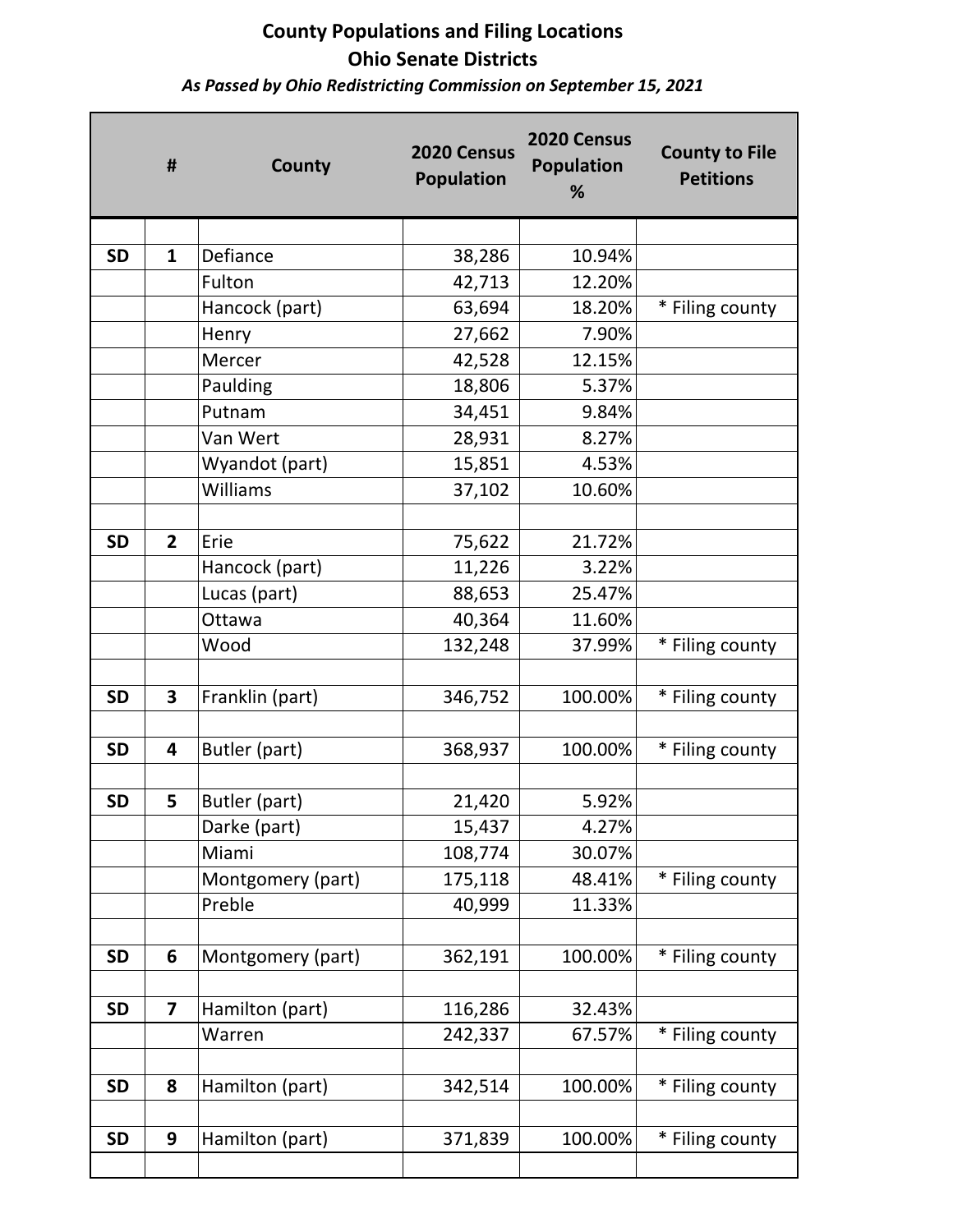*As Passed by Ohio Redistricting Commission on September 15, 2021*

|           | #                       | County            | 2020 Census<br><b>Population</b> | 2020 Census<br><b>Population</b><br>% | <b>County to File</b><br><b>Petitions</b> |
|-----------|-------------------------|-------------------|----------------------------------|---------------------------------------|-------------------------------------------|
|           |                         |                   |                                  |                                       |                                           |
| <b>SD</b> | $\mathbf{1}$            | Defiance          | 38,286                           | 10.94%                                |                                           |
|           |                         | Fulton            | 42,713                           | 12.20%                                |                                           |
|           |                         | Hancock (part)    | 63,694                           | 18.20%                                | * Filing county                           |
|           |                         | Henry             | 27,662                           | 7.90%                                 |                                           |
|           |                         | Mercer            | 42,528                           | 12.15%                                |                                           |
|           |                         | Paulding          | 18,806                           | 5.37%                                 |                                           |
|           |                         | Putnam            | 34,451                           | 9.84%                                 |                                           |
|           |                         | Van Wert          | 28,931                           | 8.27%                                 |                                           |
|           |                         | Wyandot (part)    | 15,851                           | 4.53%                                 |                                           |
|           |                         | Williams          | 37,102                           | 10.60%                                |                                           |
|           |                         |                   |                                  |                                       |                                           |
| <b>SD</b> | $\overline{2}$          | Erie              | 75,622                           | 21.72%                                |                                           |
|           |                         | Hancock (part)    | 11,226                           | 3.22%                                 |                                           |
|           |                         | Lucas (part)      | 88,653                           | 25.47%                                |                                           |
|           |                         | Ottawa            | 40,364                           | 11.60%                                |                                           |
|           |                         | Wood              | 132,248                          | 37.99%                                | * Filing county                           |
|           |                         |                   |                                  |                                       |                                           |
| <b>SD</b> | 3                       | Franklin (part)   | 346,752                          | 100.00%                               | * Filing county                           |
|           |                         |                   |                                  |                                       |                                           |
| <b>SD</b> | $\overline{\mathbf{4}}$ | Butler (part)     | 368,937                          | 100.00%                               | * Filing county                           |
| <b>SD</b> | 5                       | Butler (part)     | 21,420                           | 5.92%                                 |                                           |
|           |                         | Darke (part)      | 15,437                           | 4.27%                                 |                                           |
|           |                         | Miami             | 108,774                          | 30.07%                                |                                           |
|           |                         | Montgomery (part) | 175,118                          | 48.41%                                | * Filing county                           |
|           |                         | Preble            | 40,999                           | 11.33%                                |                                           |
|           |                         |                   |                                  |                                       |                                           |
| <b>SD</b> | 6                       | Montgomery (part) | 362,191                          | 100.00%                               | * Filing county                           |
| <b>SD</b> | $\overline{\mathbf{z}}$ | Hamilton (part)   | 116,286                          | 32.43%                                |                                           |
|           |                         | Warren            | 242,337                          | 67.57%                                | * Filing county                           |
|           |                         |                   |                                  |                                       |                                           |
| <b>SD</b> | 8                       | Hamilton (part)   | 342,514                          | 100.00%                               | * Filing county                           |
|           |                         |                   |                                  |                                       |                                           |
| <b>SD</b> | 9                       | Hamilton (part)   | 371,839                          | 100.00%                               | * Filing county                           |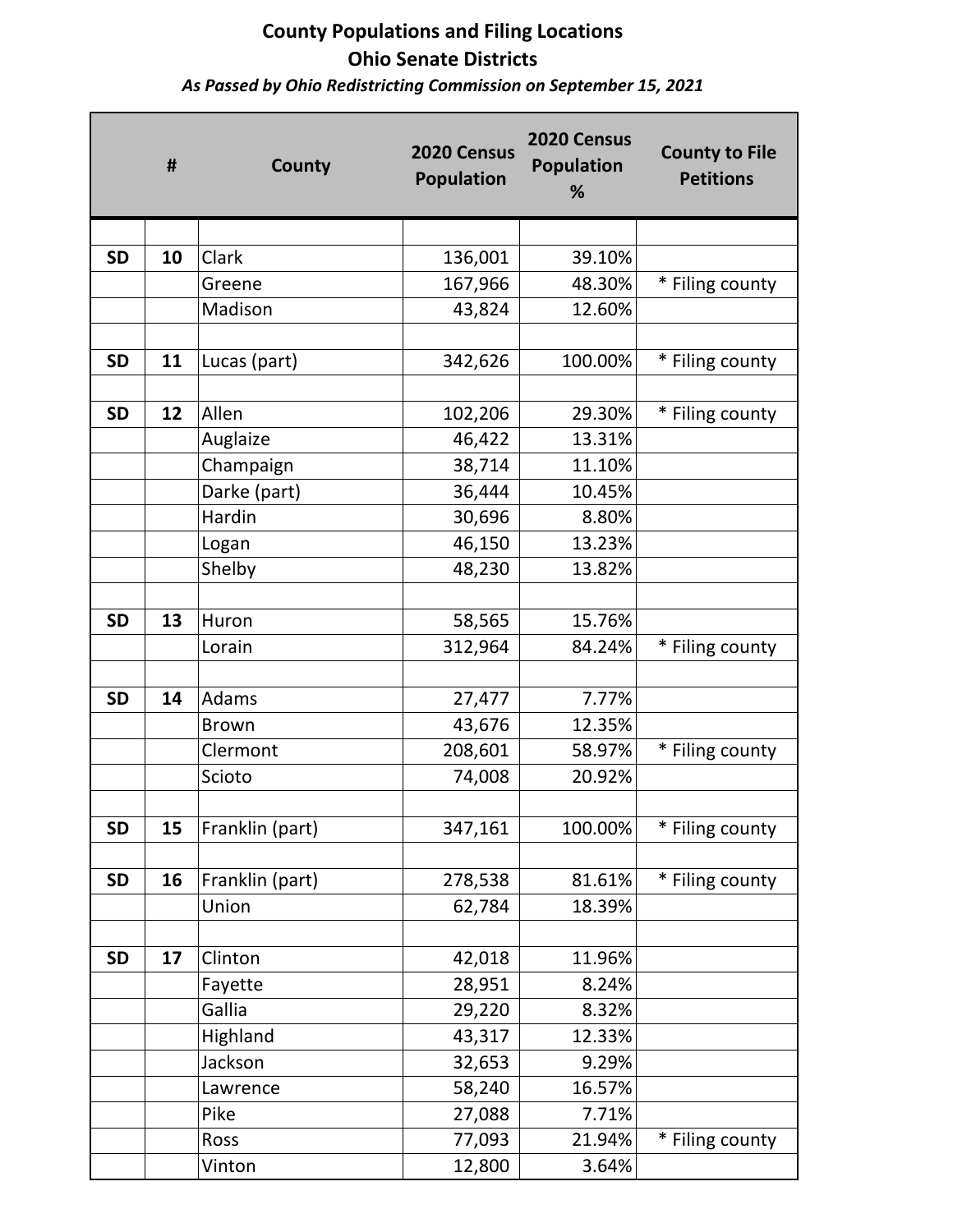*As Passed by Ohio Redistricting Commission on September 15, 2021*

|           | #  | County          | 2020 Census<br><b>Population</b> | 2020 Census<br><b>Population</b><br>% | <b>County to File</b><br><b>Petitions</b> |
|-----------|----|-----------------|----------------------------------|---------------------------------------|-------------------------------------------|
|           |    |                 |                                  |                                       |                                           |
| <b>SD</b> | 10 | Clark           | 136,001                          | 39.10%                                |                                           |
|           |    | Greene          | 167,966                          | 48.30%                                | * Filing county                           |
|           |    | Madison         | 43,824                           | 12.60%                                |                                           |
|           |    |                 |                                  |                                       |                                           |
| <b>SD</b> | 11 | Lucas (part)    | 342,626                          | 100.00%                               | * Filing county                           |
|           |    |                 |                                  |                                       |                                           |
| <b>SD</b> | 12 | Allen           | 102,206                          | 29.30%                                | * Filing county                           |
|           |    | Auglaize        | 46,422                           | 13.31%                                |                                           |
|           |    | Champaign       | 38,714                           | 11.10%                                |                                           |
|           |    | Darke (part)    | 36,444                           | 10.45%                                |                                           |
|           |    | Hardin          | 30,696                           | 8.80%                                 |                                           |
|           |    | Logan           | 46,150                           | 13.23%                                |                                           |
|           |    | Shelby          | 48,230                           | 13.82%                                |                                           |
|           |    |                 |                                  |                                       |                                           |
| <b>SD</b> | 13 | Huron           | 58,565                           | 15.76%                                |                                           |
|           |    | Lorain          | 312,964                          | 84.24%                                | * Filing county                           |
|           |    |                 |                                  |                                       |                                           |
| <b>SD</b> | 14 | Adams           | 27,477                           | 7.77%                                 |                                           |
|           |    | <b>Brown</b>    | 43,676                           | 12.35%                                |                                           |
|           |    | Clermont        | 208,601                          | 58.97%                                | * Filing county                           |
|           |    | Scioto          | 74,008                           | 20.92%                                |                                           |
|           |    |                 |                                  |                                       |                                           |
| <b>SD</b> | 15 | Franklin (part) | 347,161                          | 100.00%                               | * Filing county                           |
|           |    |                 |                                  |                                       |                                           |
| <b>SD</b> | 16 | Franklin (part) | 278,538                          | 81.61%                                | * Filing county                           |
|           |    | Union           | 62,784                           | 18.39%                                |                                           |
|           |    |                 |                                  |                                       |                                           |
| <b>SD</b> | 17 | Clinton         | 42,018                           | 11.96%                                |                                           |
|           |    | Fayette         | 28,951                           | 8.24%                                 |                                           |
|           |    | Gallia          | 29,220                           | 8.32%                                 |                                           |
|           |    | Highland        | 43,317                           | 12.33%                                |                                           |
|           |    | Jackson         | 32,653                           | 9.29%                                 |                                           |
|           |    | Lawrence        | 58,240                           | 16.57%                                |                                           |
|           |    | Pike            | 27,088                           | 7.71%                                 |                                           |
|           |    | Ross            | 77,093                           | 21.94%                                | * Filing county                           |
|           |    | Vinton          | 12,800                           | 3.64%                                 |                                           |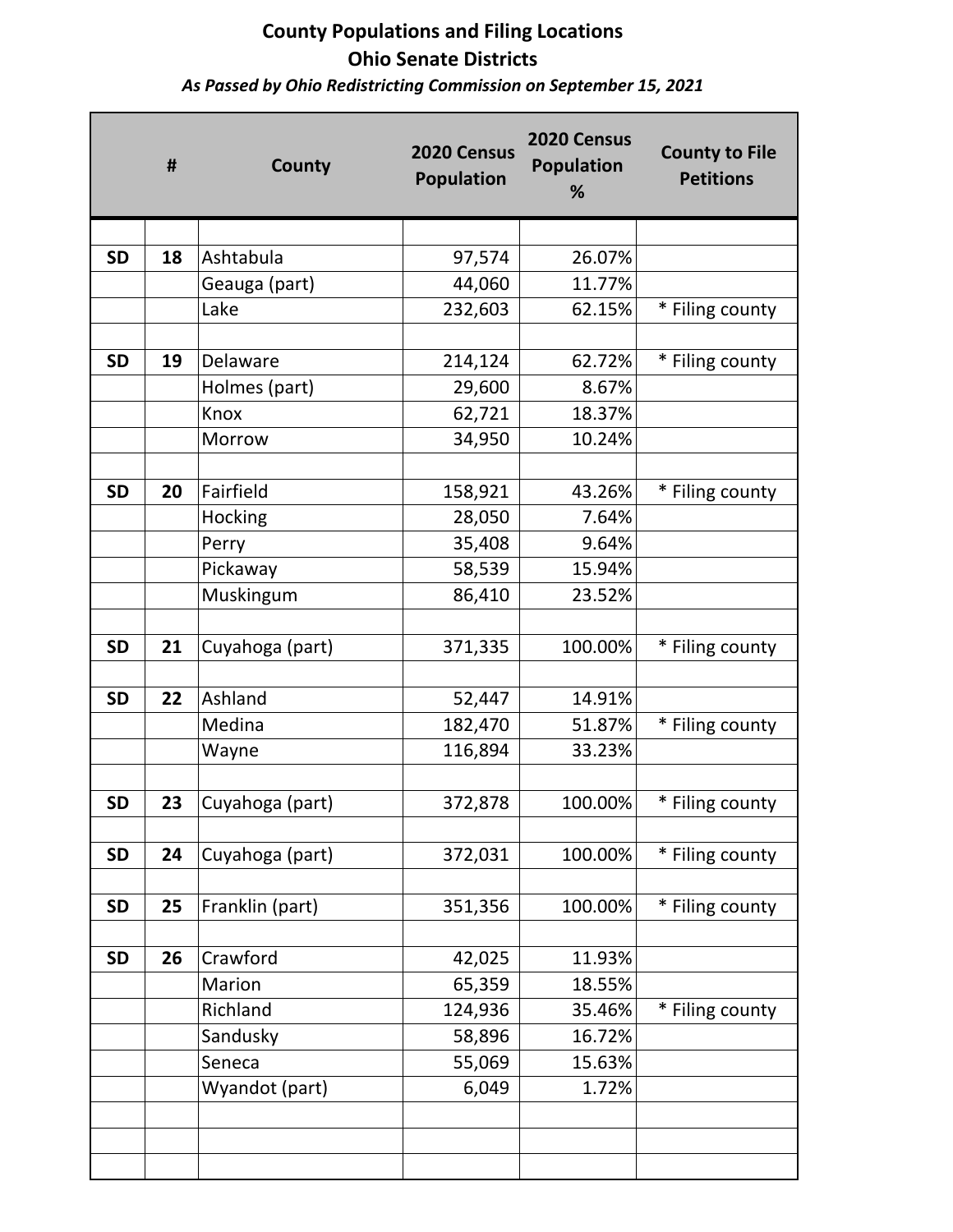*As Passed by Ohio Redistricting Commission on September 15, 2021*

|           | #  | County          | 2020 Census<br><b>Population</b> | 2020 Census<br><b>Population</b><br>% | <b>County to File</b><br><b>Petitions</b> |
|-----------|----|-----------------|----------------------------------|---------------------------------------|-------------------------------------------|
| <b>SD</b> | 18 | Ashtabula       | 97,574                           | 26.07%                                |                                           |
|           |    | Geauga (part)   | 44,060                           | 11.77%                                |                                           |
|           |    | Lake            | 232,603                          | 62.15%                                | * Filing county                           |
|           |    |                 |                                  |                                       |                                           |
| <b>SD</b> | 19 | Delaware        | 214,124                          | 62.72%                                | * Filing county                           |
|           |    | Holmes (part)   | 29,600                           | 8.67%                                 |                                           |
|           |    | Knox            | 62,721                           | 18.37%                                |                                           |
|           |    | Morrow          | 34,950                           | 10.24%                                |                                           |
|           |    |                 |                                  |                                       |                                           |
| <b>SD</b> | 20 | Fairfield       | 158,921                          | 43.26%                                | * Filing county                           |
|           |    | Hocking         | 28,050                           | 7.64%                                 |                                           |
|           |    | Perry           | 35,408                           | 9.64%                                 |                                           |
|           |    | Pickaway        | 58,539                           | 15.94%                                |                                           |
|           |    | Muskingum       | 86,410                           | 23.52%                                |                                           |
|           |    |                 |                                  |                                       |                                           |
| <b>SD</b> | 21 | Cuyahoga (part) | 371,335                          | 100.00%                               | * Filing county                           |
|           |    |                 |                                  |                                       |                                           |
| <b>SD</b> | 22 | Ashland         | 52,447                           | 14.91%                                |                                           |
|           |    | Medina          | 182,470                          | 51.87%                                | * Filing county                           |
|           |    | Wayne           | 116,894                          | 33.23%                                |                                           |
|           |    |                 |                                  |                                       |                                           |
| <b>SD</b> | 23 | Cuyahoga (part) | 372,878                          | 100.00%                               | * Filing county                           |
|           |    |                 |                                  |                                       |                                           |
| <b>SD</b> | 24 | Cuyahoga (part) | 372,031                          | 100.00%                               | * Filing county                           |
|           |    |                 |                                  |                                       |                                           |
| <b>SD</b> | 25 | Franklin (part) | 351,356                          | 100.00%                               | * Filing county                           |
|           |    |                 |                                  |                                       |                                           |
| <b>SD</b> | 26 | Crawford        | 42,025                           | 11.93%                                |                                           |
|           |    | Marion          | 65,359                           | 18.55%                                |                                           |
|           |    | Richland        | 124,936                          | 35.46%                                | * Filing county                           |
|           |    | Sandusky        | 58,896                           | 16.72%                                |                                           |
|           |    | Seneca          | 55,069                           | 15.63%                                |                                           |
|           |    | Wyandot (part)  | 6,049                            | 1.72%                                 |                                           |
|           |    |                 |                                  |                                       |                                           |
|           |    |                 |                                  |                                       |                                           |
|           |    |                 |                                  |                                       |                                           |